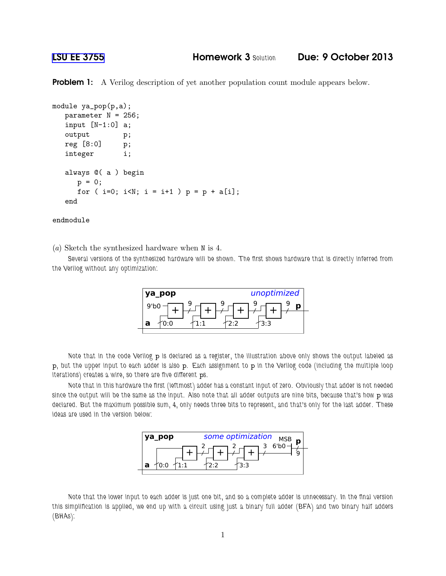## [LSU EE 3755](http://www.ece.lsu.edu/ee3755/) Homework 3 *Solution* Due: 9 October 2013

**Problem 1:** A Verilog description of yet another population count module appears below.

```
module ya_pop(p,a);
  parameter N = 256;
  input [N-1:0] a;
  output p;
  reg [8:0] p;
  integer i;
  always @( a ) begin
     p = 0;for ( i=0; i<N; i = i+1 ) p = p + a[i];
  end
```
endmodule

(a) Sketch the synthesized hardware when N is 4.

*Several versions of the synthesized hardware will be shown. The first shows hardware that is directly inferred from the Verilog without any optimization:*



*Note that in the code Verilog* p *is declared as a register, the illustration above only shows the output labeled as* p*, but the upper input to each adder is also* p*. Each assignment to* p *in the Verilog code (including the multiple loop iterations) creates a wire, so there are five different* p*s.*

*Note that in this hardware the first (leftmost) adder has a constant input of zero. Obviously that adder is not needed since the output will be the same as the input. Also note that all adder outputs are nine bits, because that's how* p *was declared. But the maximum possible sum, 4, only needs three bits to represent, and that's only for the last adder. These ideas are used in the version below:*



*Note that the lower input to each adder is just one bit, and so a complete adder is unnecessary. In the final version this simplification is applied, we end up with a circuit using just a binary full adder (BFA) and two binary half adders (BHAs):*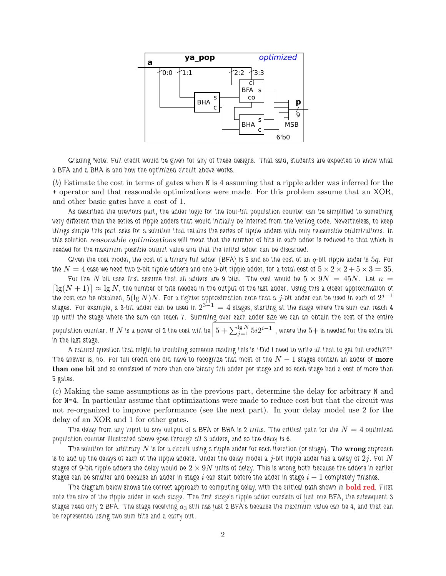

*Grading Note: Full credit would be given for any of these designs. That said, students are expected to know what a BFA and a BHA is and how the optimized circuit above works.*

(b) Estimate the cost in terms of gates when N is 4 assuming that a ripple adder was inferred for the + operator and that reasonable optimizations were made. For this problem assume that an XOR, and other basic gates have a cost of 1.

*As described the previous part, the adder logic for the four-bit population counter can be simplified to something very different than the series of ripple adders that would initially be inferred from the Verilog code. Nevertheless, to keep things simple this part asks for a solution that retains the series of ripple adders with only reasonable optimizations. In this solution* reasonable optimizations *will mean that the number of bits in each adder is reduced to that which is needed for the maximum possible output value and that the initial adder can be discarded.*

*Given the cost model, the cost of a binary full adder (BFA) is 5 and so the cost of an*  $q$ *-bit ripple adder is*  $5q$ *. For* the  $N=4$  case we need two 2-bit ripple adders and one 3-bit ripple adder, for a total cost of  $5\times2\times2+5\times3=35.$ 

For the  $N$ -bit case first assume that all adders are 9 bits. The cost would be  $5 \times 9N \ = \ 45N$ . Let  $n \ =$  $\lceil\lg(N+1)\rceil\approx\lg N$ , the number of bits needed in the output of the last adder. Using this a closer approximation of *the cost can be obtained,* 5(lg N)N*. For a tighter approximation note that a* j*-bit adder can be used in each of* 2 j−1  $s$ tages. For example, a  $3$ -bit adder can be used in  $2^{3-1}=4$  stages, starting at the stage where the sum can reach  $4$ *up until the stage where the sum can reach 7. Summing over each adder size we can an obtain the cost of the entire* population counter. If  $N$  is a power of 2 the cost will be  $\left[5+\sum_{j=1}^{1\text{g}\ N} 5i2^{i-1} \right]$ , where the  $5+$  is needed for the extra bit *in the last stage.*

*A natural question that might be troubling someone reading this is "Did I need to write all that to get full credit?!?" The answer is, no. For full credit one did have to recognize that most of the*  $N-1$  *stages contain an adder of*  $\bf{more}$ than one bit *and so consisted of more than one binary full adder per stage and so each stage had a cost of more than 5 gates.*

(c) Making the same assumptions as in the previous part, determine the delay for arbitrary N and for N=4. In particular assume that optimizations were made to reduce cost but that the circuit was not re-organized to improve performance (see the next part). In your delay model use 2 for the delay of an XOR and 1 for other gates.

*The delay from any input to any output of a BFA or BHA is 2 units. The critical path for the*  $N=4$  *optimized population counter illustrated above goes through all 3 adders, and so the delay is 6.*

The solution for arbitrary  $N$  is for a circuit using a ripple adder for each iteration (or stage). The **wrong** approach *is to add up the delays of each of the ripple adders. Under the delay model a* j*-bit ripple adder has a delay of* 2j*. For* N *stages of* 9*-bit ripple adders the delay would be* 2 × 9N *units of delay. This is wrong both because the adders in earlier stages can be smaller and because an adder in stage* i *can start before the adder in stage* i − 1 *completely finishes.*

*The diagram below shows the correct approach to computing delay, with the critical path shown in* bold red*. First note the size of the ripple adder in each stage. The first stage's ripple adder consists of just one BFA, the subsequent 3* stages need only 2 BFA. The stage receiving  $a_3$  still has just 2 BFA's because the maximum value can be  $4$ , and that can *be represented using two sum bits and a carry out.*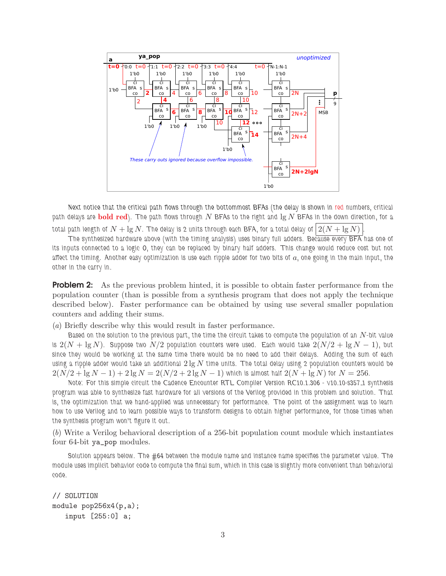

*Next notice that the critical path flows through the bottommost BFAs (the delay is shown in red numbers, critical path delays are* bold red*). The path flows through* N *BFAs to the right and* lg N *BFAs in the down direction, for a*

*total path length of*  $N + \lg N$ . The delay is 2 units through each BFA, for a total delay of  $2(N + \lg N)$ 

*The synthesized hardware above (with the timing analysis) uses binary full adders. Because every BFA has one of its inputs connected to a logic* 0*, they can be replaced by binary half adders. This change would reduce cost but not affect the timing. Another easy optimization is use each ripple adder for two bits of* a*, one going in the main input, the other in the carry in.*

**Problem 2:** As the previous problem hinted, it is possible to obtain faster performance from the population counter (than is possible from a synthesis program that does not apply the technique described below). Faster performance can be obtained by using use several smaller population counters and adding their sums.

(a) Briefly describe why this would result in faster performance.

*Based on the solution to the previous part, the time the circuit takes to compute the population of an* N*-bit value is*  $2(N + \lg N)$ . Suppose two  $N/2$  population counters were used. Each would take  $2(N/2 + \lg N - 1)$ , but *since they would be working at the same time there would be no need to add their delays. Adding the sum of each using a ripple adder would take an additional* 2 lg N *time units. The total delay using 2 population counters would be*  $2(N/2 + \lg N - 1) + 2 \lg N = 2(N/2 + 2 \lg N - 1)$  which is almost half  $2(N + \lg N)$  for  $N = 256$ .

*Note: For this simple circuit the Cadence Encounter RTL Compiler Version RC10.1.306 - v10.10-s357 1 synthesis program was able to synthesize fast hardware for all versions of the Verilog provided in this problem and solution. That is, the optimization that we hand-applied was unnecessary for performance. The point of the assignment was to learn how to use Verilog and to learn possible ways to transform designs to obtain higher performance, for those times when the synthesis program won't figure it out.*

(b) Write a Verilog behavioral description of a 256-bit population count module which instantiates four 64-bit ya\_pop modules.

*Solution appears below. The #64 between the module name and instance name specifies the parameter value. The module uses implicit behavior code to compute the final sum, which in this case is slightly more convenient than behavioral code.*

// SOLUTION module pop256x4(p,a); input [255:0] a;